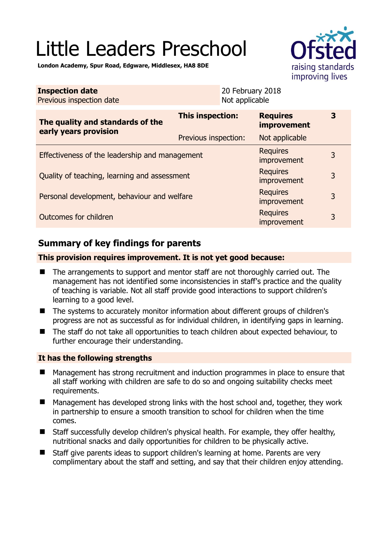# Little Leaders Preschool



**London Academy, Spur Road, Edgware, Middlesex, HA8 8DE** 

| <b>Inspection date</b><br>Previous inspection date        | 20 February 2018<br>Not applicable |                                       |   |
|-----------------------------------------------------------|------------------------------------|---------------------------------------|---|
| The quality and standards of the<br>early years provision | This inspection:                   | <b>Requires</b><br><b>improvement</b> | 3 |
|                                                           | Previous inspection:               | Not applicable                        |   |
| Effectiveness of the leadership and management            |                                    | <b>Requires</b><br>improvement        | 3 |
| Quality of teaching, learning and assessment              |                                    | <b>Requires</b><br>improvement        | 3 |
| Personal development, behaviour and welfare               |                                    | <b>Requires</b><br>improvement        | 3 |
| Outcomes for children                                     |                                    | <b>Requires</b><br>improvement        | 3 |

# **Summary of key findings for parents**

#### **This provision requires improvement. It is not yet good because:**

- The arrangements to support and mentor staff are not thoroughly carried out. The management has not identified some inconsistencies in staff's practice and the quality of teaching is variable. Not all staff provide good interactions to support children's learning to a good level.
- The systems to accurately monitor information about different groups of children's progress are not as successful as for individual children, in identifying gaps in learning.
- The staff do not take all opportunities to teach children about expected behaviour, to further encourage their understanding.

#### **It has the following strengths**

- Management has strong recruitment and induction programmes in place to ensure that all staff working with children are safe to do so and ongoing suitability checks meet requirements.
- Management has developed strong links with the host school and, together, they work in partnership to ensure a smooth transition to school for children when the time comes.
- Staff successfully develop children's physical health. For example, they offer healthy, nutritional snacks and daily opportunities for children to be physically active.
- Staff give parents ideas to support children's learning at home. Parents are very complimentary about the staff and setting, and say that their children enjoy attending.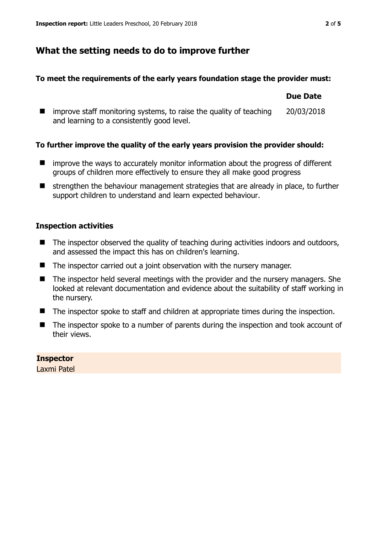## **What the setting needs to do to improve further**

#### **To meet the requirements of the early years foundation stage the provider must:**

|                                                                                                                                 | Due Date   |
|---------------------------------------------------------------------------------------------------------------------------------|------------|
| $\blacksquare$ improve staff monitoring systems, to raise the quality of teaching<br>and learning to a consistently good level. | 20/03/2018 |

#### **To further improve the quality of the early years provision the provider should:**

- **I** improve the ways to accurately monitor information about the progress of different groups of children more effectively to ensure they all make good progress
- $\blacksquare$  strengthen the behaviour management strategies that are already in place, to further support children to understand and learn expected behaviour.

#### **Inspection activities**

- The inspector observed the quality of teaching during activities indoors and outdoors, and assessed the impact this has on children's learning.
- The inspector carried out a joint observation with the nursery manager.
- The inspector held several meetings with the provider and the nursery managers. She looked at relevant documentation and evidence about the suitability of staff working in the nursery.
- The inspector spoke to staff and children at appropriate times during the inspection.
- The inspector spoke to a number of parents during the inspection and took account of their views.

#### **Inspector**

Laxmi Patel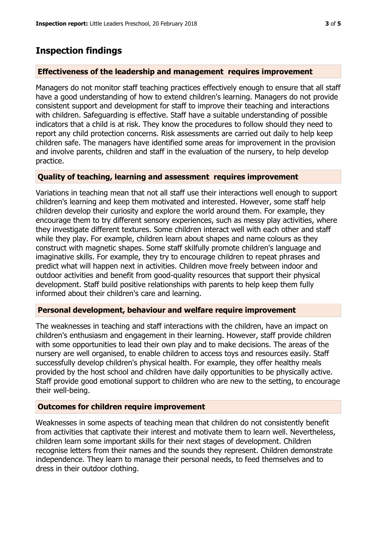## **Inspection findings**

#### **Effectiveness of the leadership and management requires improvement**

Managers do not monitor staff teaching practices effectively enough to ensure that all staff have a good understanding of how to extend children's learning. Managers do not provide consistent support and development for staff to improve their teaching and interactions with children. Safeguarding is effective. Staff have a suitable understanding of possible indicators that a child is at risk. They know the procedures to follow should they need to report any child protection concerns. Risk assessments are carried out daily to help keep children safe. The managers have identified some areas for improvement in the provision and involve parents, children and staff in the evaluation of the nursery, to help develop practice.

#### **Quality of teaching, learning and assessment requires improvement**

Variations in teaching mean that not all staff use their interactions well enough to support children's learning and keep them motivated and interested. However, some staff help children develop their curiosity and explore the world around them. For example, they encourage them to try different sensory experiences, such as messy play activities, where they investigate different textures. Some children interact well with each other and staff while they play. For example, children learn about shapes and name colours as they construct with magnetic shapes. Some staff skilfully promote children's language and imaginative skills. For example, they try to encourage children to repeat phrases and predict what will happen next in activities. Children move freely between indoor and outdoor activities and benefit from good-quality resources that support their physical development. Staff build positive relationships with parents to help keep them fully informed about their children's care and learning.

#### **Personal development, behaviour and welfare require improvement**

The weaknesses in teaching and staff interactions with the children, have an impact on children's enthusiasm and engagement in their learning. However, staff provide children with some opportunities to lead their own play and to make decisions. The areas of the nursery are well organised, to enable children to access toys and resources easily. Staff successfully develop children's physical health. For example, they offer healthy meals provided by the host school and children have daily opportunities to be physically active. Staff provide good emotional support to children who are new to the setting, to encourage their well-being.

#### **Outcomes for children require improvement**

Weaknesses in some aspects of teaching mean that children do not consistently benefit from activities that captivate their interest and motivate them to learn well. Nevertheless, children learn some important skills for their next stages of development. Children recognise letters from their names and the sounds they represent. Children demonstrate independence. They learn to manage their personal needs, to feed themselves and to dress in their outdoor clothing.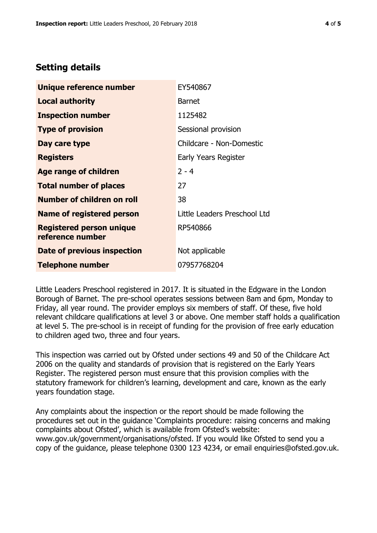## **Setting details**

| Unique reference number                             | EY540867                     |
|-----------------------------------------------------|------------------------------|
| <b>Local authority</b>                              | <b>Barnet</b>                |
| <b>Inspection number</b>                            | 1125482                      |
| <b>Type of provision</b>                            | Sessional provision          |
| Day care type                                       | Childcare - Non-Domestic     |
| <b>Registers</b>                                    | Early Years Register         |
| <b>Age range of children</b>                        | $2 - 4$                      |
| <b>Total number of places</b>                       | 27                           |
| <b>Number of children on roll</b>                   | 38                           |
| <b>Name of registered person</b>                    | Little Leaders Preschool Ltd |
| <b>Registered person unique</b><br>reference number | RP540866                     |
| Date of previous inspection                         | Not applicable               |
| <b>Telephone number</b>                             | 07957768204                  |

Little Leaders Preschool registered in 2017. It is situated in the Edgware in the London Borough of Barnet. The pre-school operates sessions between 8am and 6pm, Monday to Friday, all year round. The provider employs six members of staff. Of these, five hold relevant childcare qualifications at level 3 or above. One member staff holds a qualification at level 5. The pre-school is in receipt of funding for the provision of free early education to children aged two, three and four years.

This inspection was carried out by Ofsted under sections 49 and 50 of the Childcare Act 2006 on the quality and standards of provision that is registered on the Early Years Register. The registered person must ensure that this provision complies with the statutory framework for children's learning, development and care, known as the early years foundation stage.

Any complaints about the inspection or the report should be made following the procedures set out in the guidance 'Complaints procedure: raising concerns and making complaints about Ofsted', which is available from Ofsted's website: www.gov.uk/government/organisations/ofsted. If you would like Ofsted to send you a copy of the guidance, please telephone 0300 123 4234, or email enquiries@ofsted.gov.uk.